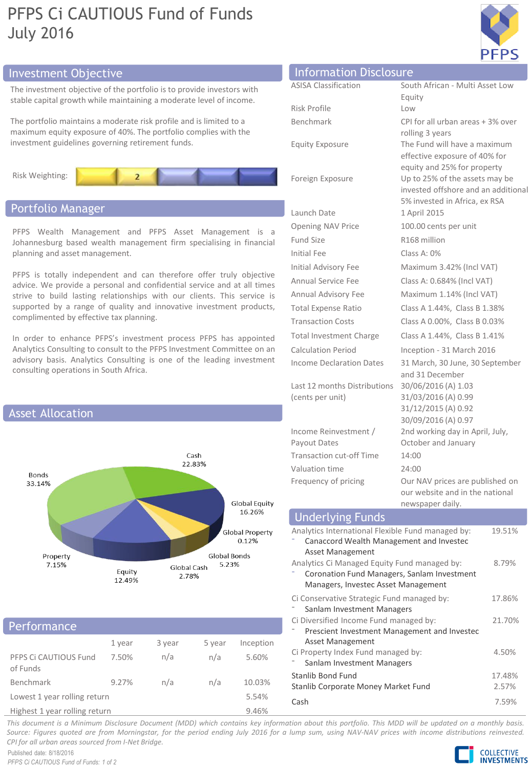# PFPS Ci CAUTIOUS Fund of Funds July 2016



The investment objective of the portfolio is to provide investors with stable capital growth while maintaining a moderate level of income.

The portfolio maintains a moderate risk profile and is limited to a maximum equity exposure of 40%. The portfolio complies with the investment guidelines governing retirement funds.



# Portfolio Manager

PFPS Wealth Management and PFPS Asset Management is a Johannesburg based wealth management firm specialising in financial planning and asset management.

PFPS is totally independent and can therefore offer truly objective advice. We provide a personal and confidential service and at all times strive to build lasting relationships with our clients. This service is supported by a range of quality and innovative investment products, complimented by effective tax planning.

In order to enhance PFPS's investment process PFPS has appointed Analytics Consulting to consult to the PFPS Investment Committee on an advisory basis. Analytics Consulting is one of the leading investment consulting operations in South Africa.



## **Performance**

|                                   | 1 year | 3 year | 5 year | Inception |
|-----------------------------------|--------|--------|--------|-----------|
| PFPS Ci CAUTIOUS Fund<br>of Funds | 7.50%  | n/a    | n/a    | 5.60%     |
| Benchmark                         | 9.27%  | n/a    | n/a    | 10.03%    |
| Lowest 1 year rolling return      |        |        |        | 5.54%     |
|                                   |        |        |        | - - - - - |

Highest 1 year rolling return 9.46%

# ASISA Classification South African - Multi Asset Low Equity Risk Profile Low Investment Objective Information Disclosure

Launch Date 1 April 2015 Opening NAV Price 100.00 cents per unit Fund Size R168 million Initial Fee Class A: 0%

Last 12 months Distributions 30/06/2016 (A) 1.03 (cents per unit)

Income Reinvestment / Payout Dates Transaction cut-off Time 14:00 Valuation time 24:00

Benchmark CPI for all urban areas + 3% over rolling 3 years Equity Exposure The Fund will have a maximum effective exposure of 40% for equity and 25% for property Foreign Exposure Up to 25% of the assets may be invested offshore and an additional 5% invested in Africa, ex RSA Initial Advisory Fee Maximum 3.42% (Incl VAT) Annual Service Fee Class A: 0.684% (Incl VAT) Annual Advisory Fee Maximum 1.14% (Incl VAT) Total Expense Ratio Class A 1.44%, Class B 1.38% Transaction Costs Class A 0.00%, Class B 0.03% Total Investment Charge Class A 1.44%, Class B 1.41% Calculation Period Inception - 31 March 2016 Income Declaration Dates 31 March, 30 June, 30 September and 31 December 31/03/2016 (A) 0.99 31/12/2015 (A) 0.92 30/09/2016 (A) 0.97 2nd working day in April, July, October and January Frequency of pricing **Our NAV** prices are published on our website and in the national newspaper daily.

| TICWJPUPCI UUITY.                                                                                                                  |                 |
|------------------------------------------------------------------------------------------------------------------------------------|-----------------|
| <b>Underlying Funds</b>                                                                                                            |                 |
| Analytics International Flexible Fund managed by:<br>Canaccord Wealth Management and Investec<br>Asset Management                  | 19.51%          |
| Analytics Ci Managed Equity Fund managed by:<br>Coronation Fund Managers, Sanlam Investment<br>Managers, Investec Asset Management | 8.79%           |
| Ci Conservative Strategic Fund managed by:<br>Sanlam Investment Managers                                                           | 17.86%          |
| Ci Diversified Income Fund managed by:<br>Prescient Investment Management and Investec<br>Asset Management                         | 21.70%          |
| Ci Property Index Fund managed by:<br>Sanlam Investment Managers                                                                   | 4.50%           |
| Stanlib Bond Fund<br>Stanlib Corporate Money Market Fund                                                                           | 17.48%<br>2.57% |
| Cash                                                                                                                               | 7.59%           |

This document is a Minimum Disclosure Document (MDD) which contains key information about this portfolio. This MDD will be updated on a monthly basis. Source: Figures quoted are from Morningstar, for the period ending July 2016 for a lump sum, using NAV-NAV prices with income distributions reinvested. *CPI for all urban areas sourced from I-Net Bridge.*

Published date: 8/18/2016 *PFPS Ci CAUTIOUS Fund of Funds: 1 of 2*